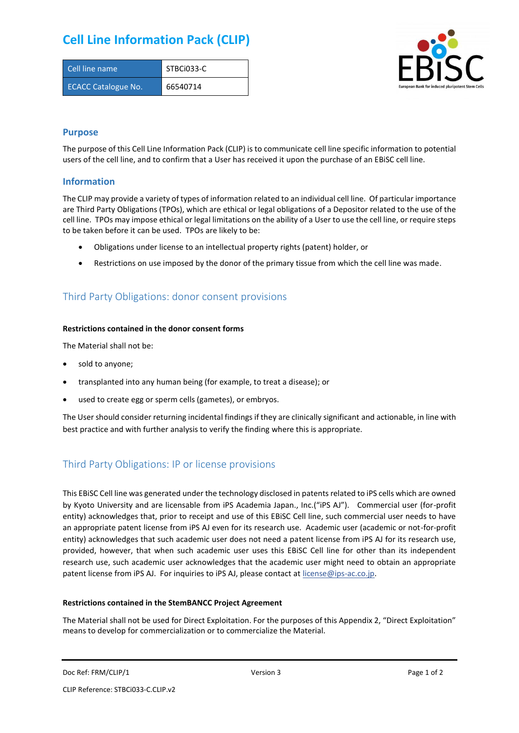## **Cell Line Information Pack (CLIP)**

| Cell line name             | STBCi033-C |
|----------------------------|------------|
| <b>ECACC Catalogue No.</b> | 66540714   |



### **Purpose**

The purpose of this Cell Line Information Pack (CLIP) is to communicate cell line specific information to potential users of the cell line, and to confirm that a User has received it upon the purchase of an EBiSC cell line.

#### **Information**

The CLIP may provide a variety of types of information related to an individual cell line. Of particular importance are Third Party Obligations (TPOs), which are ethical or legal obligations of a Depositor related to the use of the cell line. TPOs may impose ethical or legal limitations on the ability of a User to use the cell line, or require steps to be taken before it can be used. TPOs are likely to be:

- Obligations under license to an intellectual property rights (patent) holder, or
- Restrictions on use imposed by the donor of the primary tissue from which the cell line was made.

## Third Party Obligations: donor consent provisions

#### **Restrictions contained in the donor consent forms**

The Material shall not be:

- sold to anyone;
- transplanted into any human being (for example, to treat a disease); or
- used to create egg or sperm cells (gametes), or embryos.

The User should consider returning incidental findings if they are clinically significant and actionable, in line with best practice and with further analysis to verify the finding where this is appropriate.

## Third Party Obligations: IP or license provisions

This EBiSC Cell line was generated under the technology disclosed in patents related to iPS cells which are owned by Kyoto University and are licensable from iPS Academia Japan., Inc.("iPS AJ"). Commercial user (for-profit entity) acknowledges that, prior to receipt and use of this EBiSC Cell line, such commercial user needs to have an appropriate patent license from iPS AJ even for its research use. Academic user (academic or not-for-profit entity) acknowledges that such academic user does not need a patent license from iPS AJ for its research use, provided, however, that when such academic user uses this EBiSC Cell line for other than its independent research use, such academic user acknowledges that the academic user might need to obtain an appropriate patent license from iPS AJ. For inquiries to iPS AJ, please contact at [license@ips-ac.co.jp.](mailto:license@ips-ac.co.jp)

#### **Restrictions contained in the StemBANCC Project Agreement**

The Material shall not be used for Direct Exploitation. For the purposes of this Appendix 2, "Direct Exploitation" means to develop for commercialization or to commercialize the Material.

Doc Ref: FRM/CLIP/1 **Docessity** Version 3 **Page 1 of 2** Page 1 of 2